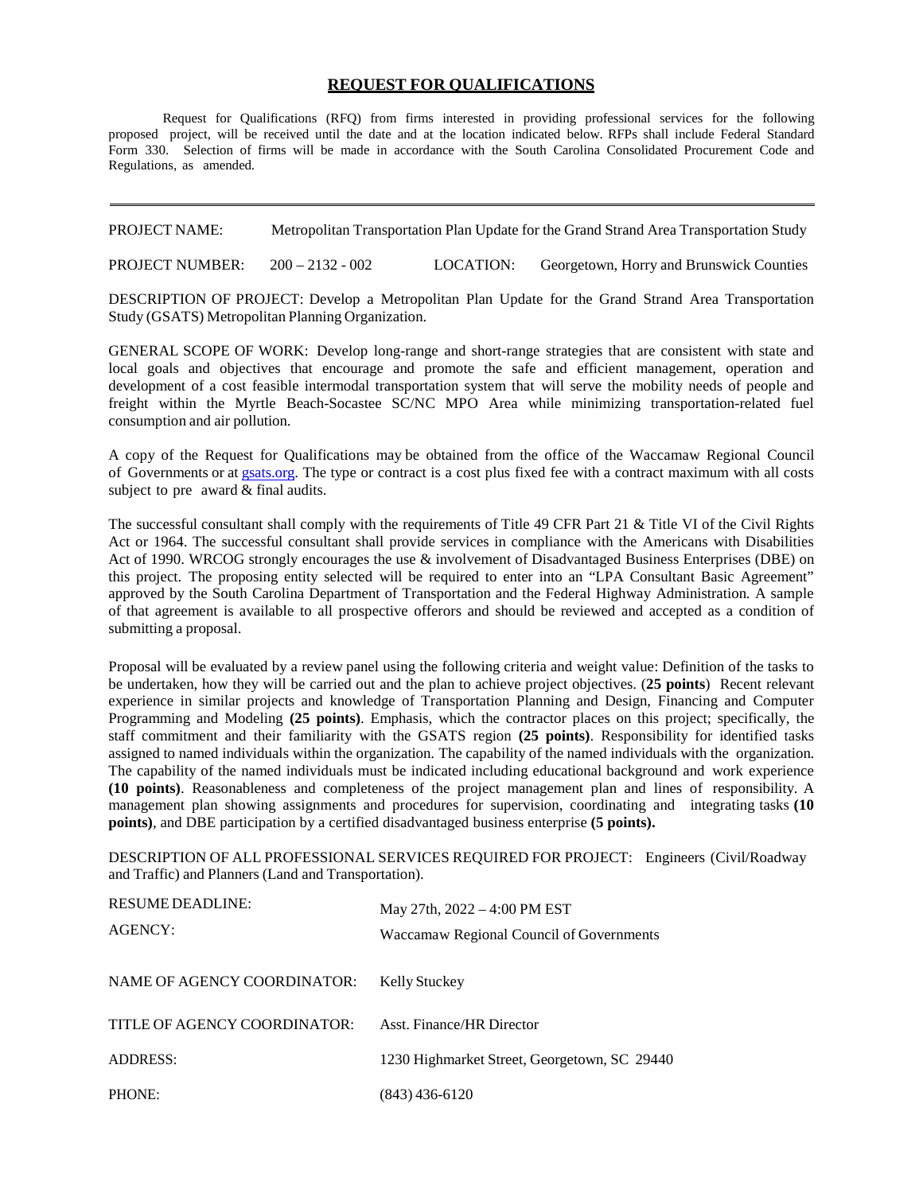## **REQUEST FOR QUALIFICATIONS**

Request for Qualifications (RFQ) from firms interested in providing professional services for the following proposed project, will be received until the date and at the location indicated below. RFPs shall include Federal Standard Form 330. Selection of firms will be made in accordance with the South Carolina Consolidated Procurement Code and Regulations, as amended.

PROJECT NAME: Metropolitan Transportation Plan Update for the Grand Strand Area Transportation Study

PROJECT NUMBER: 200 – 2132 - 002 LOCATION: Georgetown, Horry and Brunswick Counties

DESCRIPTION OF PROJECT: Develop a Metropolitan Plan Update for the Grand Strand Area Transportation Study (GSATS) Metropolitan Planning Organization.

GENERAL SCOPE OF WORK: Develop long-range and short-range strategies that are consistent with state and local goals and objectives that encourage and promote the safe and efficient management, operation and development of a cost feasible intermodal transportation system that will serve the mobility needs of people and freight within the Myrtle Beach-Socastee SC/NC MPO Area while minimizing transportation-related fuel consumption and air pollution.

A copy of the Request for Qualifications may be obtained from the office of the Waccamaw Regional Council of Governments or a[t gsats.org.](http://www.gsats.org/) The type or contract is a cost plus fixed fee with a contract maximum with all costs subject to pre award & final audits.

The successful consultant shall comply with the requirements of Title 49 CFR Part 21 & Title VI of the Civil Rights Act or 1964. The successful consultant shall provide services in compliance with the Americans with Disabilities Act of 1990. WRCOG strongly encourages the use & involvement of Disadvantaged Business Enterprises (DBE) on this project. The proposing entity selected will be required to enter into an "LPA Consultant Basic Agreement" approved by the South Carolina Department of Transportation and the Federal Highway Administration. A sample of that agreement is available to all prospective offerors and should be reviewed and accepted as a condition of submitting a proposal.

Proposal will be evaluated by a review panel using the following criteria and weight value: Definition of the tasks to be undertaken, how they will be carried out and the plan to achieve project objectives. (**25 points**) Recent relevant experience in similar projects and knowledge of Transportation Planning and Design, Financing and Computer Programming and Modeling **(25 points)**. Emphasis, which the contractor places on this project; specifically, the staff commitment and their familiarity with the GSATS region **(25 points)**. Responsibility for identified tasks assigned to named individuals within the organization. The capability of the named individuals with the organization. The capability of the named individuals must be indicated including educational background and work experience **(10 points)**. Reasonableness and completeness of the project management plan and lines of responsibility. A management plan showing assignments and procedures for supervision, coordinating and integrating tasks **(10 points)**, and DBE participation by a certified disadvantaged business enterprise **(5 points).**

DESCRIPTION OF ALL PROFESSIONAL SERVICES REQUIRED FOR PROJECT: Engineers (Civil/Roadway and Traffic) and Planners (Land and Transportation).

| <b>RESUME DEADLINE:</b><br>AGENCY: | May 27th, $2022 - 4:00$ PM EST<br>Waccamaw Regional Council of Governments |
|------------------------------------|----------------------------------------------------------------------------|
| NAME OF AGENCY COORDINATOR:        | Kelly Stuckey                                                              |
| TITLE OF AGENCY COORDINATOR:       | Asst. Finance/HR Director                                                  |
| <b>ADDRESS:</b>                    | 1230 Highmarket Street, Georgetown, SC 29440                               |
| PHONE:                             | (843) 436-6120                                                             |